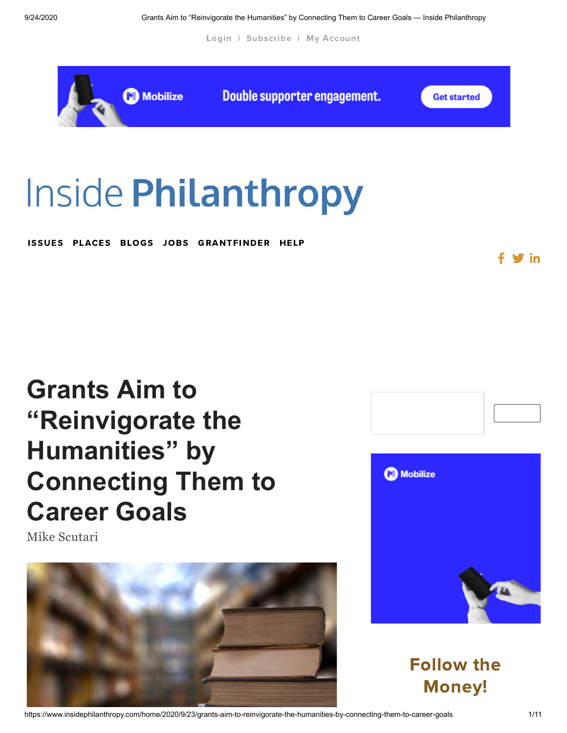[Login](https://www.insidephilanthropy.com/account-page) | [Subscribe](https://www.insidephilanthropy.com/subscribe) | My [Account](https://www.insidephilanthropy.com/account-page)



# **Inside Philanthropy**

ISSUES PLACES BLOGS [JOBS](http://jobs.insidephilanthropy.com/) [GRANTFINDER](https://www.insidephilanthropy.com/find-a-grant) [HELP](https://www.insidephilanthropy.com/help/page)

# **Grants Aim to "Reinvigorate the Humanities" by [Connecting Them to](https://www.insidephilanthropy.com/home/2020/9/23/grants-aim-to-reinvigorate-the-humanities-by-connecting-them-to-career-goals) Career Goals**

Mike [Scutari](https://www.insidephilanthropy.com/home?author=580fcf09197aeace22cd128f)







Follow the Money!

https://www.insidephilanthropy.com/home/2020/9/23/grants-aim-to-reinvigorate-the-humanities-by-connecting-them-to-career-goals 1/11

 $\mathrel{\bullet}$  in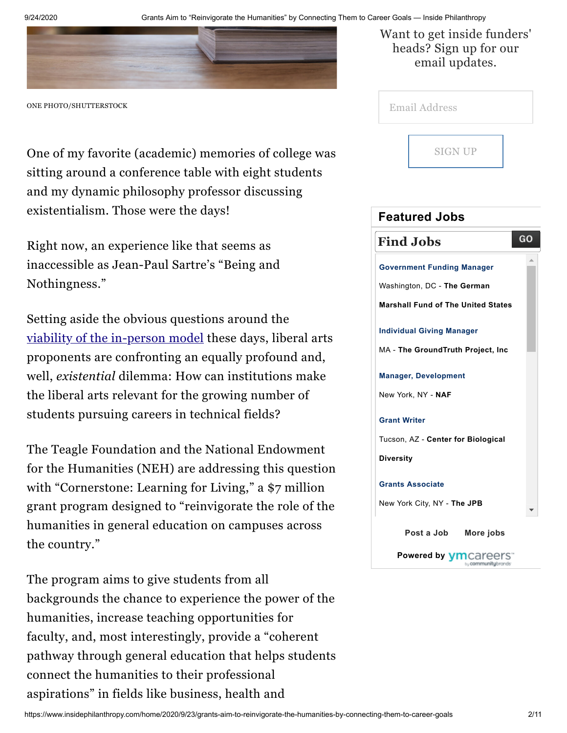

ONE PHOTO/SHUTTERSTOCK

One of my favorite (academic) memories of college was sitting around a conference table with eight students and my dynamic philosophy professor discussing existentialism. Those were the days!

Right now, an experience like that seems as inaccessible as Jean-Paul Sartre's "Being and Nothingness."

Setting aside the obvious questions around the viability of the [in-person](https://www.insidephilanthropy.com/home/2020/9/16/more-flexible-options-an-influential-donor-looks-to-redesign-american-higher-education) model these days, liberal arts proponents are confronting an equally profound and, well, *existential* dilemma: How can institutions make the liberal arts relevant for the growing number of students pursuing careers in technical fields?

The Teagle Foundation and the National Endowment for the Humanities (NEH) are addressing this question with "Cornerstone: Learning for Living," a \$7 million grant program designed to "reinvigorate the role of the humanities in general education on campuses across the country."

The program aims to give students from all backgrounds the chance to experience the power of the humanities, increase teaching opportunities for faculty, and, most interestingly, provide a "coherent pathway through general education that helps students connect the humanities to their professional aspirations" in fields like business, health and

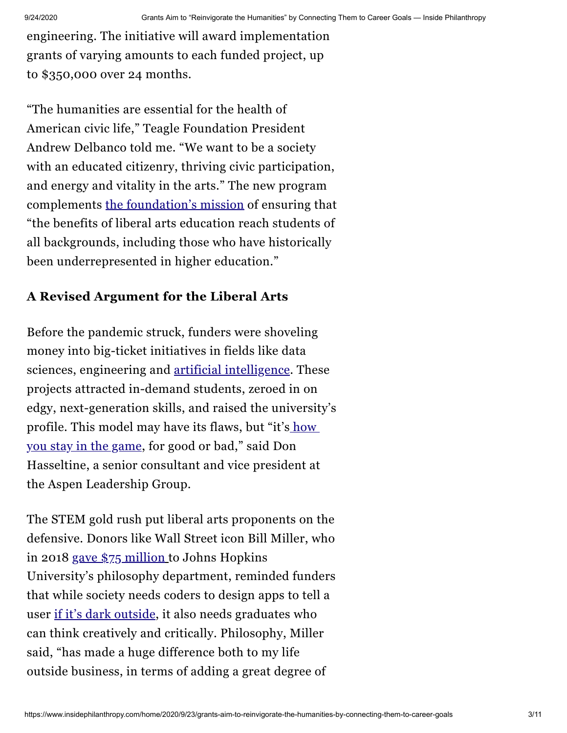engineering. The initiative will award implementation grants of varying amounts to each funded project, up to \$350,000 over 24 months.

"The humanities are essential for the health of American civic life," Teagle Foundation President Andrew Delbanco told me. "We want to be a society with an educated citizenry, thriving civic participation, and energy and vitality in the arts." The new program complements the [foundation's](https://david-callahan-hfwl.squarespace.com/config/pages/57db29d5e39aa48736ce8b6d) mission of ensuring that "the benefits of liberal arts education reach students of all backgrounds, including those who have historically been underrepresented in higher education."

#### **A Revised Argument for the Liberal Arts**

Before the pandemic struck, funders were shoveling money into big-ticket initiatives in fields like data sciences, engineering and artificial [intelligence](https://www.insidephilanthropy.com/home/2018/10/23/for-a-university-and-a-top-billionaire-donor-a-huge-bet-on-artificial-intelligence). These projects attracted in-demand students, zeroed in on edgy, next-generation skills, and raised the university's [profile.](https://www.insidephilanthropy.com/home/2020/6/18/as-higher-ed-giving-tanks-what-will-happen-to-big-capital-campaigns) This model may have its flaws, but "it's how you stay in the game, for good or bad," said Don Hasseltine, a senior consultant and vice president at the Aspen Leadership Group.

The STEM gold rush put liberal arts proponents on the defensive. Donors like Wall Street icon Bill Miller, who in 2018 gave \$75 [million](https://www.insidephilanthropy.com/home/2018/1/17/wonderfully-contrarian-bill-miller-philosophy-gift) to Johns Hopkins University's philosophy department, reminded funders that while society needs coders to design apps to tell a user if it's dark [outside](https://www.entrepreneur.com/article/280446), it also needs graduates who can think creatively and critically. Philosophy, Miller said, "has made a huge difference both to my life outside business, in terms of adding a great degree of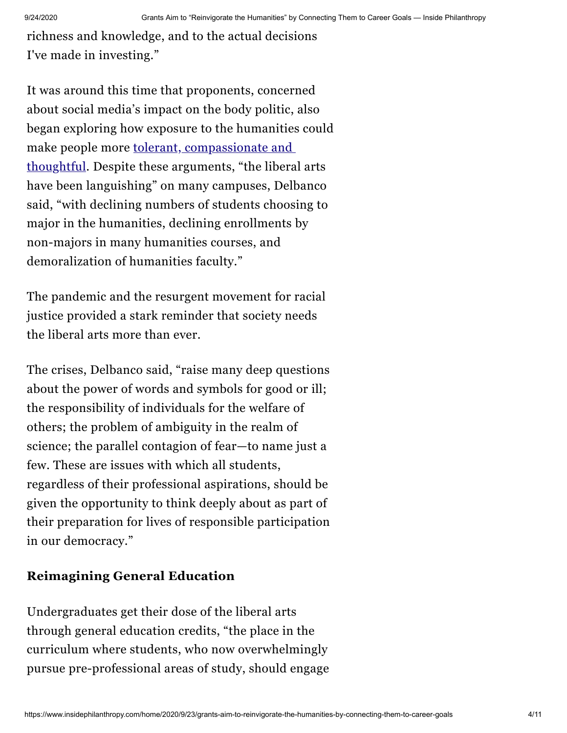richness and knowledge, and to the actual decisions I've made in investing."

It was around this time that proponents, concerned about social media's impact on the body politic, also began exploring how exposure to the humanities could make people more tolerant, [compassionate](https://www.insidephilanthropy.com/home/2017/12/21/can-the-arts-foster-empathy-a-novel-mellon-foundation-grant-hopes) and thoughtful. Despite these arguments, "the liberal arts have been languishing" on many campuses, Delbanco said, "with declining numbers of students choosing to major in the humanities, declining enrollments by non-majors in many humanities courses, and demoralization of humanities faculty."

The pandemic and the resurgent movement for racial justice provided a stark reminder that society needs the liberal arts more than ever.

The crises, Delbanco said, "raise many deep questions about the power of words and symbols for good or ill; the responsibility of individuals for the welfare of others; the problem of ambiguity in the realm of science; the parallel contagion of fear—to name just a few. These are issues with which all students, regardless of their professional aspirations, should be given the opportunity to think deeply about as part of their preparation for lives of responsible participation in our democracy."

#### **Reimagining General Education**

Undergraduates get their dose of the liberal arts through general education credits, "the place in the curriculum where students, who now overwhelmingly pursue pre-professional areas of study, should engage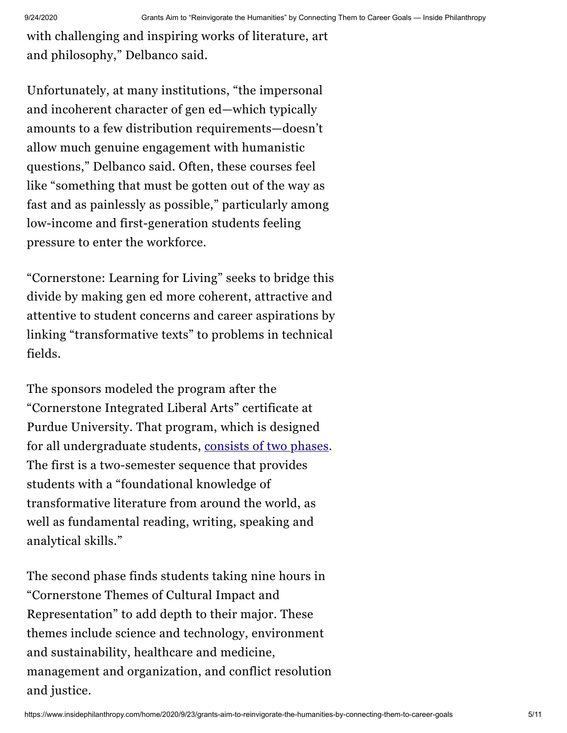with challenging and inspiring works of literature, art and philosophy," Delbanco said.

Unfortunately, at many institutions, "the impersonal and incoherent character of gen ed—which typically amounts to a few distribution requirements—doesn't allow much genuine engagement with humanistic questions," Delbanco said. Often, these courses feel like "something that must be gotten out of the way as fast and as painlessly as possible," particularly among low-income and first-generation students feeling pressure to enter the workforce.

"Cornerstone: Learning for Living" seeks to bridge this divide by making gen ed more coherent, attractive and attentive to student concerns and career aspirations by linking "transformative texts" to problems in technical fields.

The sponsors modeled the program after the "Cornerstone Integrated Liberal Arts" certificate at Purdue University. That program, which is designed for all undergraduate students, [consists](https://cla.purdue.edu/academic/cornerstone/index.html) of two phases. The first is a two-semester sequence that provides students with a "foundational knowledge of transformative literature from around the world, as well as fundamental reading, writing, speaking and analytical skills."

The second phase finds students taking nine hours in "Cornerstone Themes of Cultural Impact and Representation" to add depth to their major. These themes include science and technology, environment and sustainability, healthcare and medicine, management and organization, and conflict resolution and justice.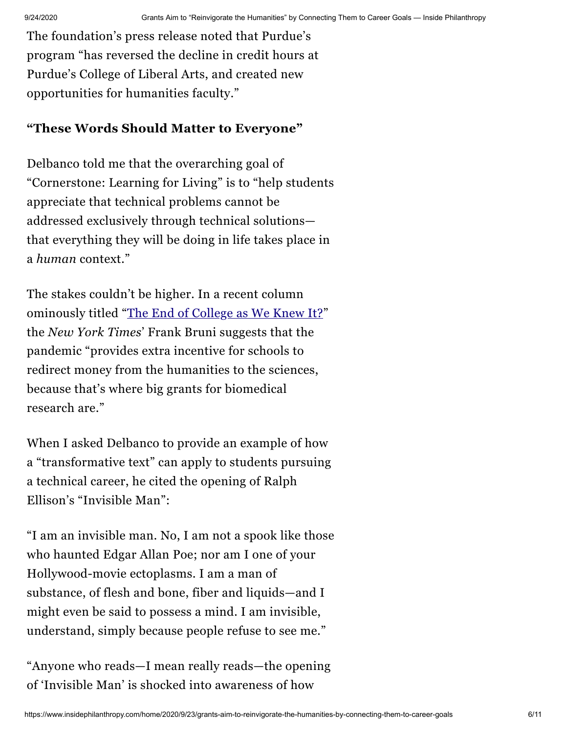The foundation's press release noted that Purdue's program "has reversed the decline in credit hours at Purdue's College of Liberal Arts, and created new opportunities for humanities faculty."

### **"These Words Should Matter to Everyone"**

Delbanco told me that the overarching goal of "Cornerstone: Learning for Living" is to "help students appreciate that technical problems cannot be addressed exclusively through technical solutions that everything they will be doing in life takes place in a *human* context."

The stakes couldn't be higher. In a recent column ominously titled ["](https://www.nytimes.com/2020/06/04/opinion/sunday/coronavirus-college-humanities.html)The End of [College](https://www.nytimes.com/2020/06/04/opinion/sunday/coronavirus-college-humanities.html) as We Knew It?" the *New York Times*' Frank Bruni suggests that the pandemic "provides extra incentive for schools to redirect money from the humanities to the sciences, because that's where big grants for biomedical research are."

When I asked Delbanco to provide an example of how a "transformative text" can apply to students pursuing a technical career, he cited the opening of Ralph Ellison's "Invisible Man":

"I am an invisible man. No, I am not a spook like those who haunted Edgar Allan Poe; nor am I one of your Hollywood-movie ectoplasms. I am a man of substance, of flesh and bone, fiber and liquids—and I might even be said to possess a mind. I am invisible, understand, simply because people refuse to see me."

"Anyone who reads—I mean really reads—the opening of 'Invisible Man' is shocked into awareness of how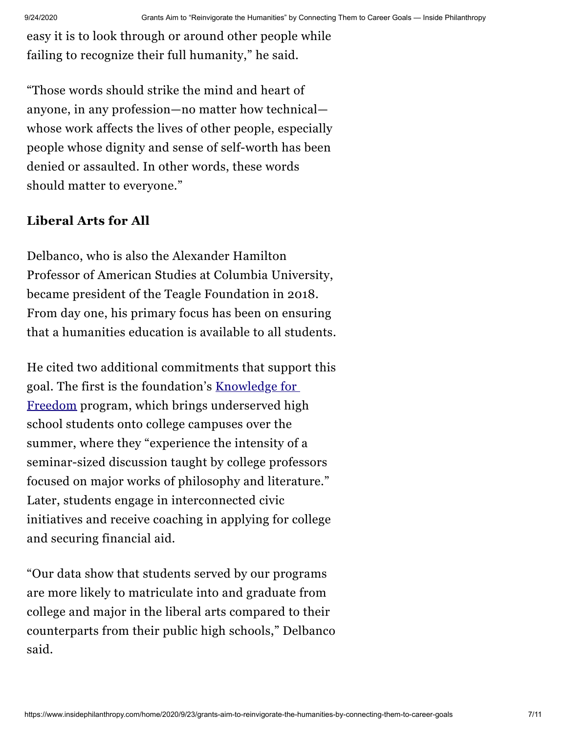easy it is to look through or around other people while failing to recognize their full humanity," he said.

"Those words should strike the mind and heart of anyone, in any profession—no matter how technical whose work affects the lives of other people, especially people whose dignity and sense of self-worth has been denied or assaulted. In other words, these words should matter to everyone."

#### **Liberal Arts for All**

Delbanco, who is also the Alexander Hamilton Professor of American Studies at Columbia University, became president of the Teagle Foundation in 2018. From day one, his primary focus has been on ensuring that a humanities education is available to all students.

He cited two additional commitments that support this goal. The first is the [foundation's](http://www.teaglefoundation.org/Call-for-Proposals/Initiatives/Knowledge-For-Freedom) Knowledge for Freedom program, which brings underserved high school students onto college campuses over the summer, where they "experience the intensity of a seminar-sized discussion taught by college professors focused on major works of philosophy and literature." Later, students engage in interconnected civic initiatives and receive coaching in applying for college and securing financial aid.

"Our data show that students served by our programs are more likely to matriculate into and graduate from college and major in the liberal arts compared to their counterparts from their public high schools," Delbanco said.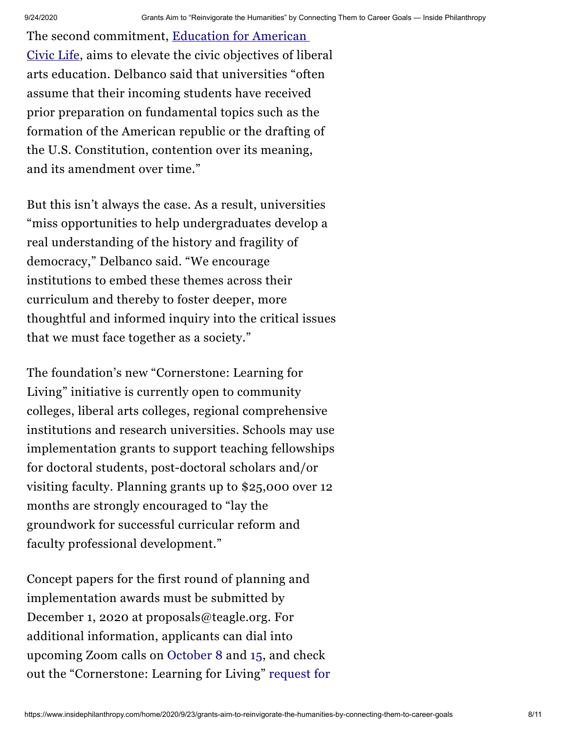The second [commitment,](http://www.teaglefoundation.org/Call-for-Proposals/Initiatives/Education-for-American-Civic-Life) Education for American Civic Life, aims to elevate the civic objectives of liberal arts education. Delbanco said that universities "often assume that their incoming students have received prior preparation on fundamental topics such as the formation of the American republic or the drafting of the U.S. Constitution, contention over its meaning, and its amendment over time."

But this isn't always the case. As a result, universities "miss opportunities to help undergraduates develop a real understanding of the history and fragility of democracy," Delbanco said. "We encourage institutions to embed these themes across their curriculum and thereby to foster deeper, more thoughtful and informed inquiry into the critical issues that we must face together as a society."

The foundation's new "Cornerstone: Learning for Living" initiative is currently open to community colleges, liberal arts colleges, regional comprehensive institutions and research universities. Schools may use implementation grants to support teaching fellowships for doctoral students, post-doctoral scholars and/or visiting faculty. Planning grants up to \$25,000 over 12 months are strongly encouraged to "lay the groundwork for successful curricular reform and faculty professional development."

Concept papers for the first round of planning and implementation awards must be submitted by December 1, 2020 at proposals@teagle.org. For additional information, applicants can dial into upcoming Zoom calls on [October](https://us02web.zoom.us/webinar/register/WN_qnSD64QaSdupe0NHNKy9DA) 8 and [15](https://us02web.zoom.us/webinar/register/WN_A6ShRY-3TrCPyGq9nMYA0g), and check out the ["Cornerstone:](http://www.teaglefoundation.org/Call-for-Proposals/RFPs/Cornerstone-Learning-for-Living) Learning for Living" request for